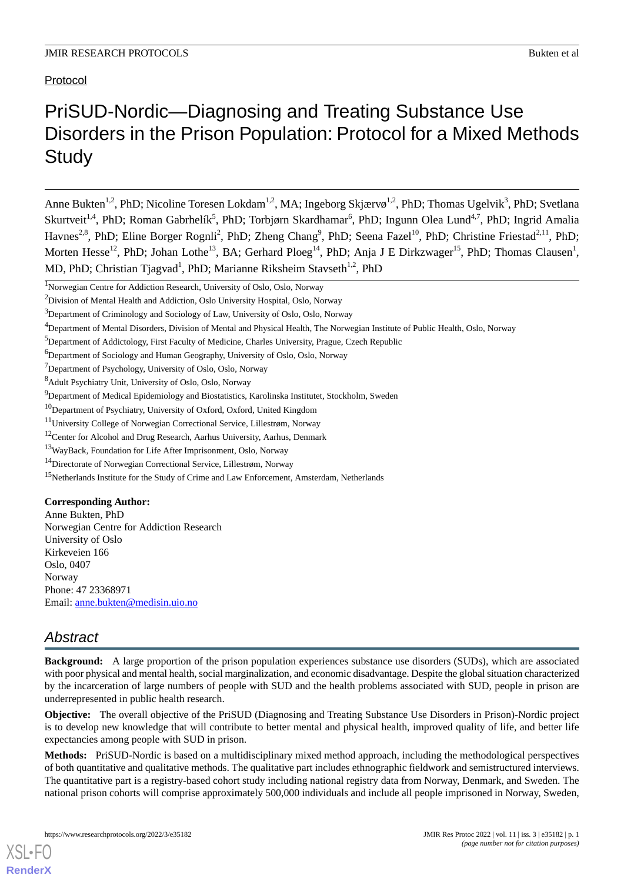## Protocol

# PriSUD-Nordic—Diagnosing and Treating Substance Use Disorders in the Prison Population: Protocol for a Mixed Methods **Study**

Anne Bukten<sup>1,2</sup>, PhD; Nicoline Toresen Lokdam<sup>1,2</sup>, MA; Ingeborg Skjærvø<sup>1,2</sup>, PhD; Thomas Ugelvik<sup>3</sup>, PhD; Svetlana Skurtveit<sup>1,4</sup>, PhD; Roman Gabrhelík<sup>5</sup>, PhD; Torbjørn Skardhamar<sup>6</sup>, PhD; Ingunn Olea Lund<sup>4,7</sup>, PhD; Ingrid Amalia Havnes<sup>2,8</sup>, PhD; Eline Borger Rognli<sup>2</sup>, PhD; Zheng Chang<sup>9</sup>, PhD; Seena Fazel<sup>10</sup>, PhD; Christine Friestad<sup>2,11</sup>, PhD; Morten Hesse<sup>12</sup>, PhD; Johan Lothe<sup>13</sup>, BA; Gerhard Ploeg<sup>14</sup>, PhD; Anja J E Dirkzwager<sup>15</sup>, PhD; Thomas Clausen<sup>1</sup>, MD, PhD; Christian Tjagvad<sup>1</sup>, PhD; Marianne Riksheim Stavseth<sup>1,2</sup>, PhD

## **Corresponding Author:**

Anne Bukten, PhD Norwegian Centre for Addiction Research University of Oslo Kirkeveien 166 Oslo, 0407 Norway Phone: 47 23368971 Email: [anne.bukten@medisin.uio.no](mailto:anne.bukten@medisin.uio.no)

## *Abstract*

[XSL](http://www.w3.org/Style/XSL)•FO **[RenderX](http://www.renderx.com/)**

**Background:** A large proportion of the prison population experiences substance use disorders (SUDs), which are associated with poor physical and mental health, social marginalization, and economic disadvantage. Despite the global situation characterized by the incarceration of large numbers of people with SUD and the health problems associated with SUD, people in prison are underrepresented in public health research.

**Objective:** The overall objective of the PriSUD (Diagnosing and Treating Substance Use Disorders in Prison)-Nordic project is to develop new knowledge that will contribute to better mental and physical health, improved quality of life, and better life expectancies among people with SUD in prison.

**Methods:** PriSUD-Nordic is based on a multidisciplinary mixed method approach, including the methodological perspectives of both quantitative and qualitative methods. The qualitative part includes ethnographic fieldwork and semistructured interviews. The quantitative part is a registry-based cohort study including national registry data from Norway, Denmark, and Sweden. The national prison cohorts will comprise approximately 500,000 individuals and include all people imprisoned in Norway, Sweden,

<sup>1</sup>Norwegian Centre for Addiction Research, University of Oslo, Oslo, Norway

<sup>2</sup>Division of Mental Health and Addiction, Oslo University Hospital, Oslo, Norway

<sup>&</sup>lt;sup>3</sup>Department of Criminology and Sociology of Law, University of Oslo, Oslo, Norway

<sup>4</sup>Department of Mental Disorders, Division of Mental and Physical Health, The Norwegian Institute of Public Health, Oslo, Norway

<sup>&</sup>lt;sup>5</sup>Department of Addictology, First Faculty of Medicine, Charles University, Prague, Czech Republic

<sup>&</sup>lt;sup>6</sup>Department of Sociology and Human Geography, University of Oslo, Oslo, Norway

<sup>&</sup>lt;sup>7</sup>Department of Psychology, University of Oslo, Oslo, Norway

<sup>8</sup>Adult Psychiatry Unit, University of Oslo, Oslo, Norway

<sup>&</sup>lt;sup>9</sup>Department of Medical Epidemiology and Biostatistics, Karolinska Institutet, Stockholm, Sweden

<sup>&</sup>lt;sup>10</sup>Department of Psychiatry, University of Oxford, Oxford, United Kingdom

<sup>11</sup>University College of Norwegian Correctional Service, Lillestrøm, Norway

<sup>&</sup>lt;sup>12</sup>Center for Alcohol and Drug Research, Aarhus University, Aarhus, Denmark

<sup>13</sup>WayBack, Foundation for Life After Imprisonment, Oslo, Norway

<sup>14</sup>Directorate of Norwegian Correctional Service, Lillestrøm, Norway

<sup>&</sup>lt;sup>15</sup>Netherlands Institute for the Study of Crime and Law Enforcement, Amsterdam, Netherlands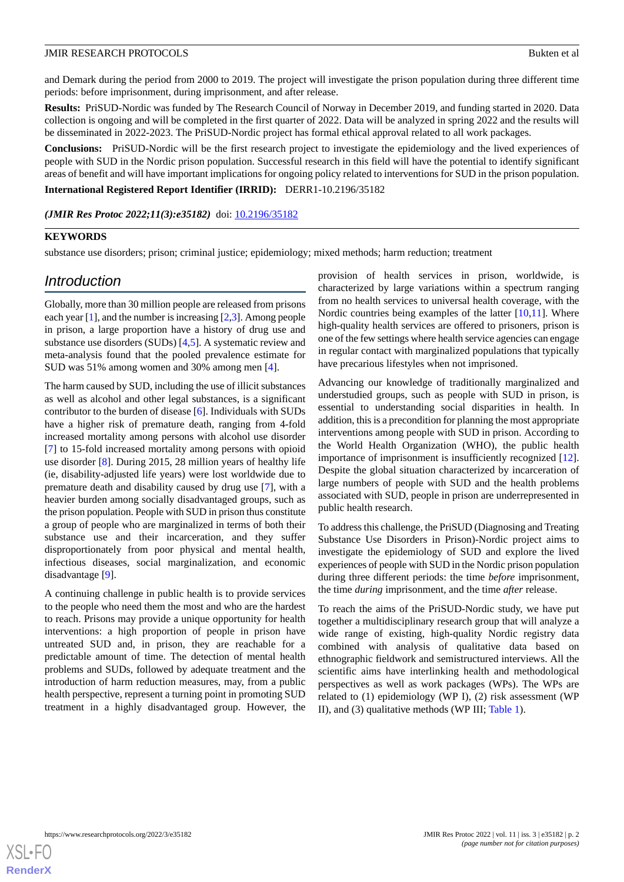and Demark during the period from 2000 to 2019. The project will investigate the prison population during three different time periods: before imprisonment, during imprisonment, and after release.

**Results:** PriSUD-Nordic was funded by The Research Council of Norway in December 2019, and funding started in 2020. Data collection is ongoing and will be completed in the first quarter of 2022. Data will be analyzed in spring 2022 and the results will be disseminated in 2022-2023. The PriSUD-Nordic project has formal ethical approval related to all work packages.

**Conclusions:** PriSUD-Nordic will be the first research project to investigate the epidemiology and the lived experiences of people with SUD in the Nordic prison population. Successful research in this field will have the potential to identify significant areas of benefit and will have important implications for ongoing policy related to interventions for SUD in the prison population.

**International Registered Report Identifier (IRRID):** DERR1-10.2196/35182

*(JMIR Res Protoc 2022;11(3):e35182)* doi: [10.2196/35182](http://dx.doi.org/10.2196/35182)

## **KEYWORDS**

substance use disorders; prison; criminal justice; epidemiology; mixed methods; harm reduction; treatment

## *Introduction*

Globally, more than 30 million people are released from prisons each year [[1\]](#page-6-0), and the number is increasing [[2,](#page-6-1)[3](#page-6-2)]. Among people in prison, a large proportion have a history of drug use and substance use disorders (SUDs) [[4,](#page-6-3)[5](#page-6-4)]. A systematic review and meta-analysis found that the pooled prevalence estimate for SUD was 51% among women and 30% among men [[4\]](#page-6-3).

The harm caused by SUD, including the use of illicit substances as well as alcohol and other legal substances, is a significant contributor to the burden of disease [[6\]](#page-6-5). Individuals with SUDs have a higher risk of premature death, ranging from 4-fold increased mortality among persons with alcohol use disorder [[7\]](#page-6-6) to 15-fold increased mortality among persons with opioid use disorder [\[8](#page-6-7)]. During 2015, 28 million years of healthy life (ie, disability-adjusted life years) were lost worldwide due to premature death and disability caused by drug use [[7\]](#page-6-6), with a heavier burden among socially disadvantaged groups, such as the prison population. People with SUD in prison thus constitute a group of people who are marginalized in terms of both their substance use and their incarceration, and they suffer disproportionately from poor physical and mental health, infectious diseases, social marginalization, and economic disadvantage [\[9](#page-6-8)].

A continuing challenge in public health is to provide services to the people who need them the most and who are the hardest to reach. Prisons may provide a unique opportunity for health interventions: a high proportion of people in prison have untreated SUD and, in prison, they are reachable for a predictable amount of time. The detection of mental health problems and SUDs, followed by adequate treatment and the introduction of harm reduction measures, may, from a public health perspective, represent a turning point in promoting SUD treatment in a highly disadvantaged group. However, the

provision of health services in prison, worldwide, is characterized by large variations within a spectrum ranging from no health services to universal health coverage, with the Nordic countries being examples of the latter [[10,](#page-6-9)[11](#page-7-0)]. Where high-quality health services are offered to prisoners, prison is one of the few settings where health service agencies can engage in regular contact with marginalized populations that typically have precarious lifestyles when not imprisoned.

Advancing our knowledge of traditionally marginalized and understudied groups, such as people with SUD in prison, is essential to understanding social disparities in health. In addition, this is a precondition for planning the most appropriate interventions among people with SUD in prison. According to the World Health Organization (WHO), the public health importance of imprisonment is insufficiently recognized [[12\]](#page-7-1). Despite the global situation characterized by incarceration of large numbers of people with SUD and the health problems associated with SUD, people in prison are underrepresented in public health research.

To address this challenge, the PriSUD (Diagnosing and Treating Substance Use Disorders in Prison)-Nordic project aims to investigate the epidemiology of SUD and explore the lived experiences of people with SUD in the Nordic prison population during three different periods: the time *before* imprisonment, the time *during* imprisonment, and the time *after* release.

To reach the aims of the PriSUD-Nordic study, we have put together a multidisciplinary research group that will analyze a wide range of existing, high-quality Nordic registry data combined with analysis of qualitative data based on ethnographic fieldwork and semistructured interviews. All the scientific aims have interlinking health and methodological perspectives as well as work packages (WPs). The WPs are related to (1) epidemiology (WP I), (2) risk assessment (WP II), and (3) qualitative methods (WP III; [Table 1](#page-2-0)).

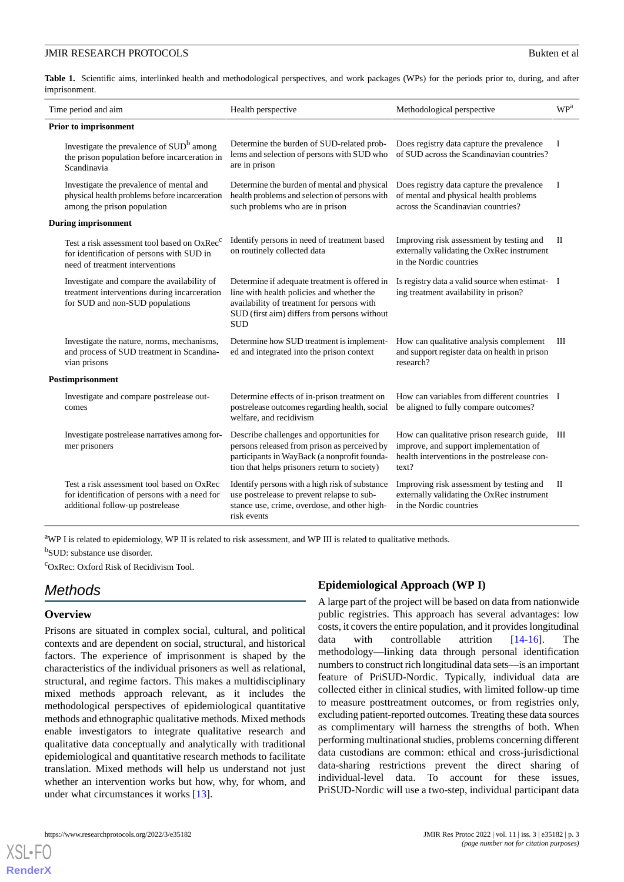<span id="page-2-0"></span>Table 1. Scientific aims, interlinked health and methodological perspectives, and work packages (WPs) for the periods prior to, during, and after imprisonment.

| Time period and aim          |                                                                                                                                         | Health perspective                                                                                                                                                                                     | Methodological perspective                                                                                                                    | $\ensuremath{\mathbf{WP}^{\!a}}\xspace$ |
|------------------------------|-----------------------------------------------------------------------------------------------------------------------------------------|--------------------------------------------------------------------------------------------------------------------------------------------------------------------------------------------------------|-----------------------------------------------------------------------------------------------------------------------------------------------|-----------------------------------------|
| <b>Prior to imprisonment</b> |                                                                                                                                         |                                                                                                                                                                                                        |                                                                                                                                               |                                         |
|                              | Investigate the prevalence of SUD <sup>b</sup> among<br>the prison population before incarceration in<br>Scandinavia                    | Determine the burden of SUD-related prob-<br>lems and selection of persons with SUD who<br>are in prison                                                                                               | Does registry data capture the prevalence<br>of SUD across the Scandinavian countries?                                                        | $\bf{I}$                                |
|                              | Investigate the prevalence of mental and<br>physical health problems before incarceration<br>among the prison population                | Determine the burden of mental and physical<br>health problems and selection of persons with<br>such problems who are in prison                                                                        | Does registry data capture the prevalence<br>of mental and physical health problems<br>across the Scandinavian countries?                     | I                                       |
| <b>During imprisonment</b>   |                                                                                                                                         |                                                                                                                                                                                                        |                                                                                                                                               |                                         |
|                              | Test a risk assessment tool based on OxRec <sup>c</sup><br>for identification of persons with SUD in<br>need of treatment interventions | Identify persons in need of treatment based<br>on routinely collected data                                                                                                                             | Improving risk assessment by testing and<br>externally validating the OxRec instrument<br>in the Nordic countries                             | П                                       |
|                              | Investigate and compare the availability of<br>treatment interventions during incarceration<br>for SUD and non-SUD populations          | Determine if adequate treatment is offered in<br>line with health policies and whether the<br>availability of treatment for persons with<br>SUD (first aim) differs from persons without<br><b>SUD</b> | Is registry data a valid source when estimat- I<br>ing treatment availability in prison?                                                      |                                         |
|                              | Investigate the nature, norms, mechanisms,<br>and process of SUD treatment in Scandina-<br>vian prisons                                 | Determine how SUD treatment is implement-<br>ed and integrated into the prison context                                                                                                                 | How can qualitative analysis complement<br>and support register data on health in prison<br>research?                                         | Ш                                       |
| Postimprisonment             |                                                                                                                                         |                                                                                                                                                                                                        |                                                                                                                                               |                                         |
|                              | Investigate and compare postrelease out-<br>comes                                                                                       | Determine effects of in-prison treatment on<br>postrelease outcomes regarding health, social<br>welfare, and recidivism                                                                                | How can variables from different countries I<br>be aligned to fully compare outcomes?                                                         |                                         |
|                              | Investigate postrelease narratives among for-<br>mer prisoners                                                                          | Describe challenges and opportunities for<br>persons released from prison as perceived by<br>participants in WayBack (a nonprofit founda-<br>tion that helps prisoners return to society)              | How can qualitative prison research guide,<br>improve, and support implementation of<br>health interventions in the postrelease con-<br>text? | Ш                                       |
|                              | Test a risk assessment tool based on OxRec<br>for identification of persons with a need for<br>additional follow-up postrelease         | Identify persons with a high risk of substance<br>use postrelease to prevent relapse to sub-<br>stance use, crime, overdose, and other high-<br>risk events                                            | Improving risk assessment by testing and<br>externally validating the OxRec instrument<br>in the Nordic countries                             | П                                       |

<sup>a</sup>WP I is related to epidemiology, WP II is related to risk assessment, and WP III is related to qualitative methods. <sup>b</sup>SUD: substance use disorder.

<sup>c</sup>OxRec: Oxford Risk of Recidivism Tool.

## *Methods*

## **Overview**

[XSL](http://www.w3.org/Style/XSL)•FO **[RenderX](http://www.renderx.com/)**

Prisons are situated in complex social, cultural, and political contexts and are dependent on social, structural, and historical factors. The experience of imprisonment is shaped by the characteristics of the individual prisoners as well as relational, structural, and regime factors. This makes a multidisciplinary mixed methods approach relevant, as it includes the methodological perspectives of epidemiological quantitative methods and ethnographic qualitative methods. Mixed methods enable investigators to integrate qualitative research and qualitative data conceptually and analytically with traditional epidemiological and quantitative research methods to facilitate translation. Mixed methods will help us understand not just whether an intervention works but how, why, for whom, and under what circumstances it works [\[13](#page-7-2)].

## **Epidemiological Approach (WP I)**

A large part of the project will be based on data from nationwide public registries. This approach has several advantages: low costs, it covers the entire population, and it provides longitudinal data with controllable attrition [[14-](#page-7-3)[16\]](#page-7-4). The methodology—linking data through personal identification numbers to construct rich longitudinal data sets—is an important feature of PriSUD-Nordic. Typically, individual data are collected either in clinical studies, with limited follow-up time to measure posttreatment outcomes, or from registries only, excluding patient-reported outcomes. Treating these data sources as complimentary will harness the strengths of both. When performing multinational studies, problems concerning different data custodians are common: ethical and cross-jurisdictional data-sharing restrictions prevent the direct sharing of individual-level data. To account for these issues, PriSUD-Nordic will use a two-step, individual participant data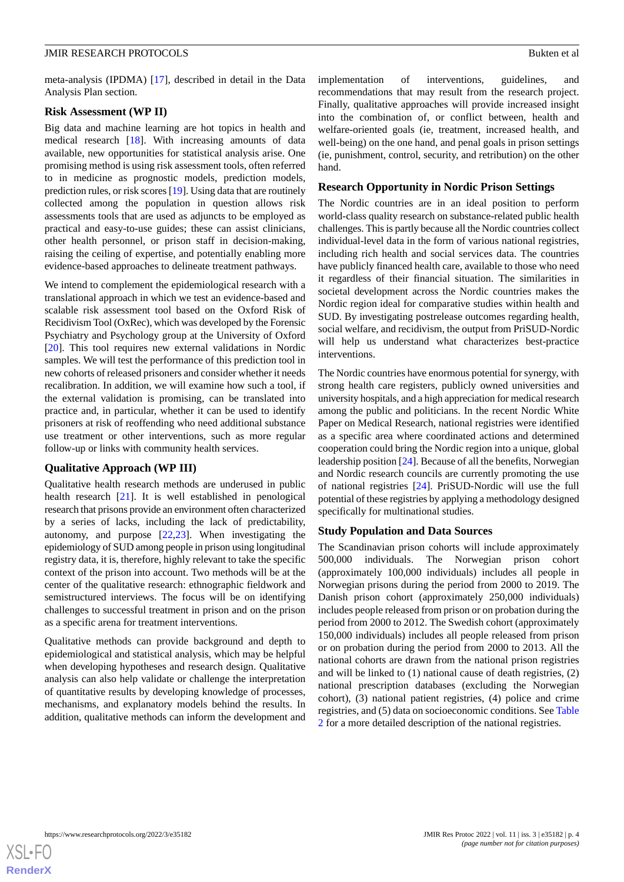meta-analysis (IPDMA) [[17\]](#page-7-5), described in detail in the Data Analysis Plan section.

#### **Risk Assessment (WP II)**

Big data and machine learning are hot topics in health and medical research [[18\]](#page-7-6). With increasing amounts of data available, new opportunities for statistical analysis arise. One promising method is using risk assessment tools, often referred to in medicine as prognostic models, prediction models, prediction rules, or risk scores [\[19](#page-7-7)]. Using data that are routinely collected among the population in question allows risk assessments tools that are used as adjuncts to be employed as practical and easy-to-use guides; these can assist clinicians, other health personnel, or prison staff in decision-making, raising the ceiling of expertise, and potentially enabling more evidence-based approaches to delineate treatment pathways.

We intend to complement the epidemiological research with a translational approach in which we test an evidence-based and scalable risk assessment tool based on the Oxford Risk of Recidivism Tool (OxRec), which was developed by the Forensic Psychiatry and Psychology group at the University of Oxford [[20\]](#page-7-8). This tool requires new external validations in Nordic samples. We will test the performance of this prediction tool in new cohorts of released prisoners and consider whether it needs recalibration. In addition, we will examine how such a tool, if the external validation is promising, can be translated into practice and, in particular, whether it can be used to identify prisoners at risk of reoffending who need additional substance use treatment or other interventions, such as more regular follow-up or links with community health services.

## **Qualitative Approach (WP III)**

Qualitative health research methods are underused in public health research [\[21](#page-7-9)]. It is well established in penological research that prisons provide an environment often characterized by a series of lacks, including the lack of predictability, autonomy, and purpose [[22,](#page-7-10)[23\]](#page-7-11). When investigating the epidemiology of SUD among people in prison using longitudinal registry data, it is, therefore, highly relevant to take the specific context of the prison into account. Two methods will be at the center of the qualitative research: ethnographic fieldwork and semistructured interviews. The focus will be on identifying challenges to successful treatment in prison and on the prison as a specific arena for treatment interventions.

Qualitative methods can provide background and depth to epidemiological and statistical analysis, which may be helpful when developing hypotheses and research design. Qualitative analysis can also help validate or challenge the interpretation of quantitative results by developing knowledge of processes, mechanisms, and explanatory models behind the results. In addition, qualitative methods can inform the development and implementation of interventions, guidelines, and recommendations that may result from the research project. Finally, qualitative approaches will provide increased insight into the combination of, or conflict between, health and welfare-oriented goals (ie, treatment, increased health, and well-being) on the one hand, and penal goals in prison settings (ie, punishment, control, security, and retribution) on the other hand.

#### **Research Opportunity in Nordic Prison Settings**

The Nordic countries are in an ideal position to perform world-class quality research on substance-related public health challenges. This is partly because all the Nordic countries collect individual-level data in the form of various national registries, including rich health and social services data. The countries have publicly financed health care, available to those who need it regardless of their financial situation. The similarities in societal development across the Nordic countries makes the Nordic region ideal for comparative studies within health and SUD. By investigating postrelease outcomes regarding health, social welfare, and recidivism, the output from PriSUD-Nordic will help us understand what characterizes best-practice interventions.

The Nordic countries have enormous potential for synergy, with strong health care registers, publicly owned universities and university hospitals, and a high appreciation for medical research among the public and politicians. In the recent Nordic White Paper on Medical Research, national registries were identified as a specific area where coordinated actions and determined cooperation could bring the Nordic region into a unique, global leadership position [[24\]](#page-7-12). Because of all the benefits, Norwegian and Nordic research councils are currently promoting the use of national registries [\[24](#page-7-12)]. PriSUD-Nordic will use the full potential of these registries by applying a methodology designed specifically for multinational studies.

## **Study Population and Data Sources**

The Scandinavian prison cohorts will include approximately 500,000 individuals. The Norwegian prison cohort (approximately 100,000 individuals) includes all people in Norwegian prisons during the period from 2000 to 2019. The Danish prison cohort (approximately 250,000 individuals) includes people released from prison or on probation during the period from 2000 to 2012. The Swedish cohort (approximately 150,000 individuals) includes all people released from prison or on probation during the period from 2000 to 2013. All the national cohorts are drawn from the national prison registries and will be linked to (1) national cause of death registries, (2) national prescription databases (excluding the Norwegian cohort), (3) national patient registries, (4) police and crime registries, and (5) data on socioeconomic conditions. See [Table](#page-4-0) [2](#page-4-0) for a more detailed description of the national registries.

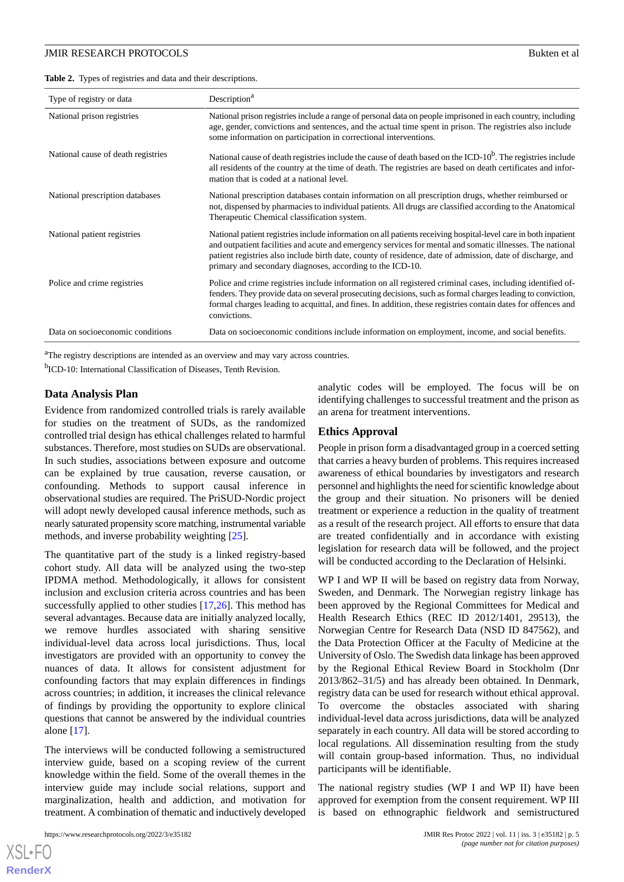<span id="page-4-0"></span>**Table 2.** Types of registries and data and their descriptions.

| Type of registry or data           | Description <sup>a</sup>                                                                                                                                                                                                                                                                                                                                                                                |  |
|------------------------------------|---------------------------------------------------------------------------------------------------------------------------------------------------------------------------------------------------------------------------------------------------------------------------------------------------------------------------------------------------------------------------------------------------------|--|
| National prison registries         | National prison registries include a range of personal data on people imprisoned in each country, including<br>age, gender, convictions and sentences, and the actual time spent in prison. The registries also include<br>some information on participation in correctional interventions.                                                                                                             |  |
| National cause of death registries | National cause of death registries include the cause of death based on the ICD-10 <sup>b</sup> . The registries include<br>all residents of the country at the time of death. The registries are based on death certificates and infor-<br>mation that is coded at a national level.                                                                                                                    |  |
| National prescription databases    | National prescription databases contain information on all prescription drugs, whether reimbursed or<br>not, dispensed by pharmacies to individual patients. All drugs are classified according to the Anatomical<br>Therapeutic Chemical classification system.                                                                                                                                        |  |
| National patient registries        | National patient registries include information on all patients receiving hospital-level care in both inpatient<br>and outpatient facilities and acute and emergency services for mental and somatic illnesses. The national<br>patient registries also include birth date, county of residence, date of admission, date of discharge, and<br>primary and secondary diagnoses, according to the ICD-10. |  |
| Police and crime registries        | Police and crime registries include information on all registered criminal cases, including identified of-<br>fenders. They provide data on several prosecuting decisions, such as formal charges leading to conviction,<br>formal charges leading to acquittal, and fines. In addition, these registries contain dates for offences and<br>convictions.                                                |  |
| Data on socioeconomic conditions   | Data on socioeconomic conditions include information on employment, income, and social benefits.                                                                                                                                                                                                                                                                                                        |  |

<sup>a</sup>The registry descriptions are intended as an overview and may vary across countries.

<sup>b</sup>ICD-10: International Classification of Diseases, Tenth Revision.

## **Data Analysis Plan**

Evidence from randomized controlled trials is rarely available for studies on the treatment of SUDs, as the randomized controlled trial design has ethical challenges related to harmful substances. Therefore, most studies on SUDs are observational. In such studies, associations between exposure and outcome can be explained by true causation, reverse causation, or confounding. Methods to support causal inference in observational studies are required. The PriSUD-Nordic project will adopt newly developed causal inference methods, such as nearly saturated propensity score matching, instrumental variable methods, and inverse probability weighting [\[25](#page-7-13)].

The quantitative part of the study is a linked registry-based cohort study. All data will be analyzed using the two-step IPDMA method. Methodologically, it allows for consistent inclusion and exclusion criteria across countries and has been successfully applied to other studies [[17](#page-7-5)[,26](#page-7-14)]. This method has several advantages. Because data are initially analyzed locally, we remove hurdles associated with sharing sensitive individual-level data across local jurisdictions. Thus, local investigators are provided with an opportunity to convey the nuances of data. It allows for consistent adjustment for confounding factors that may explain differences in findings across countries; in addition, it increases the clinical relevance of findings by providing the opportunity to explore clinical questions that cannot be answered by the individual countries alone [\[17](#page-7-5)].

The interviews will be conducted following a semistructured interview guide, based on a scoping review of the current knowledge within the field. Some of the overall themes in the interview guide may include social relations, support and marginalization, health and addiction, and motivation for treatment. A combination of thematic and inductively developed

analytic codes will be employed. The focus will be on identifying challenges to successful treatment and the prison as an arena for treatment interventions.

#### **Ethics Approval**

People in prison form a disadvantaged group in a coerced setting that carries a heavy burden of problems. This requires increased awareness of ethical boundaries by investigators and research personnel and highlights the need for scientific knowledge about the group and their situation. No prisoners will be denied treatment or experience a reduction in the quality of treatment as a result of the research project. All efforts to ensure that data are treated confidentially and in accordance with existing legislation for research data will be followed, and the project will be conducted according to the Declaration of Helsinki.

WP I and WP II will be based on registry data from Norway, Sweden, and Denmark. The Norwegian registry linkage has been approved by the Regional Committees for Medical and Health Research Ethics (REC ID 2012/1401, 29513), the Norwegian Centre for Research Data (NSD ID 847562), and the Data Protection Officer at the Faculty of Medicine at the University of Oslo. The Swedish data linkage has been approved by the Regional Ethical Review Board in Stockholm (Dnr 2013/862–31/5) and has already been obtained. In Denmark, registry data can be used for research without ethical approval. To overcome the obstacles associated with sharing individual-level data across jurisdictions, data will be analyzed separately in each country. All data will be stored according to local regulations. All dissemination resulting from the study will contain group-based information. Thus, no individual participants will be identifiable.

The national registry studies (WP I and WP II) have been approved for exemption from the consent requirement. WP III is based on ethnographic fieldwork and semistructured

```
XS • F(
RenderX
```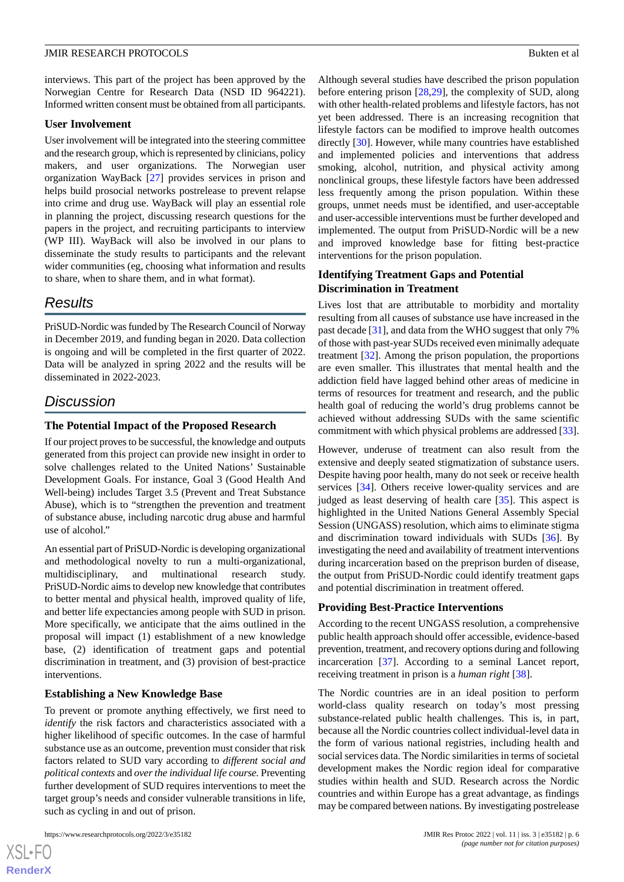interviews. This part of the project has been approved by the Norwegian Centre for Research Data (NSD ID 964221). Informed written consent must be obtained from all participants.

#### **User Involvement**

User involvement will be integrated into the steering committee and the research group, which is represented by clinicians, policy makers, and user organizations. The Norwegian user organization WayBack [[27\]](#page-7-15) provides services in prison and helps build prosocial networks postrelease to prevent relapse into crime and drug use. WayBack will play an essential role in planning the project, discussing research questions for the papers in the project, and recruiting participants to interview (WP III). WayBack will also be involved in our plans to disseminate the study results to participants and the relevant wider communities (eg, choosing what information and results to share, when to share them, and in what format).

## *Results*

PriSUD-Nordic was funded by The Research Council of Norway in December 2019, and funding began in 2020. Data collection is ongoing and will be completed in the first quarter of 2022. Data will be analyzed in spring 2022 and the results will be disseminated in 2022-2023.

## *Discussion*

#### **The Potential Impact of the Proposed Research**

If our project proves to be successful, the knowledge and outputs generated from this project can provide new insight in order to solve challenges related to the United Nations' Sustainable Development Goals. For instance, Goal 3 (Good Health And Well-being) includes Target 3.5 (Prevent and Treat Substance Abuse), which is to "strengthen the prevention and treatment of substance abuse, including narcotic drug abuse and harmful use of alcohol."

An essential part of PriSUD-Nordic is developing organizational and methodological novelty to run a multi-organizational, multidisciplinary, and multinational research study. PriSUD-Nordic aims to develop new knowledge that contributes to better mental and physical health, improved quality of life, and better life expectancies among people with SUD in prison. More specifically, we anticipate that the aims outlined in the proposal will impact (1) establishment of a new knowledge base, (2) identification of treatment gaps and potential discrimination in treatment, and (3) provision of best-practice interventions.

#### **Establishing a New Knowledge Base**

To prevent or promote anything effectively, we first need to *identify* the risk factors and characteristics associated with a higher likelihood of specific outcomes. In the case of harmful substance use as an outcome, prevention must consider that risk factors related to SUD vary according to *different social and political contexts* and *over the individual life course.*Preventing further development of SUD requires interventions to meet the target group's needs and consider vulnerable transitions in life, such as cycling in and out of prison.

Although several studies have described the prison population before entering prison [\[28](#page-7-16),[29\]](#page-7-17), the complexity of SUD, along with other health-related problems and lifestyle factors, has not yet been addressed. There is an increasing recognition that lifestyle factors can be modified to improve health outcomes directly [\[30](#page-7-18)]. However, while many countries have established and implemented policies and interventions that address smoking, alcohol, nutrition, and physical activity among nonclinical groups, these lifestyle factors have been addressed less frequently among the prison population. Within these groups, unmet needs must be identified, and user-acceptable and user-accessible interventions must be further developed and implemented. The output from PriSUD-Nordic will be a new and improved knowledge base for fitting best-practice interventions for the prison population.

#### **Identifying Treatment Gaps and Potential Discrimination in Treatment**

Lives lost that are attributable to morbidity and mortality resulting from all causes of substance use have increased in the past decade [\[31](#page-7-19)], and data from the WHO suggest that only 7% of those with past-year SUDs received even minimally adequate treatment [[32\]](#page-7-20). Among the prison population, the proportions are even smaller. This illustrates that mental health and the addiction field have lagged behind other areas of medicine in terms of resources for treatment and research, and the public health goal of reducing the world's drug problems cannot be achieved without addressing SUDs with the same scientific commitment with which physical problems are addressed [[33\]](#page-7-21).

However, underuse of treatment can also result from the extensive and deeply seated stigmatization of substance users. Despite having poor health, many do not seek or receive health services [[34\]](#page-7-22). Others receive lower-quality services and are judged as least deserving of health care [[35\]](#page-7-23). This aspect is highlighted in the United Nations General Assembly Special Session (UNGASS) resolution, which aims to eliminate stigma and discrimination toward individuals with SUDs [[36\]](#page-8-0). By investigating the need and availability of treatment interventions during incarceration based on the preprison burden of disease, the output from PriSUD-Nordic could identify treatment gaps and potential discrimination in treatment offered.

#### **Providing Best-Practice Interventions**

According to the recent UNGASS resolution, a comprehensive public health approach should offer accessible, evidence-based prevention, treatment, and recovery options during and following incarceration [[37\]](#page-8-1). According to a seminal Lancet report, receiving treatment in prison is a *human right* [\[38](#page-8-2)].

The Nordic countries are in an ideal position to perform world-class quality research on today's most pressing substance-related public health challenges. This is, in part, because all the Nordic countries collect individual-level data in the form of various national registries, including health and social services data. The Nordic similarities in terms of societal development makes the Nordic region ideal for comparative studies within health and SUD. Research across the Nordic countries and within Europe has a great advantage, as findings may be compared between nations. By investigating postrelease

 $XS$ -FO **[RenderX](http://www.renderx.com/)**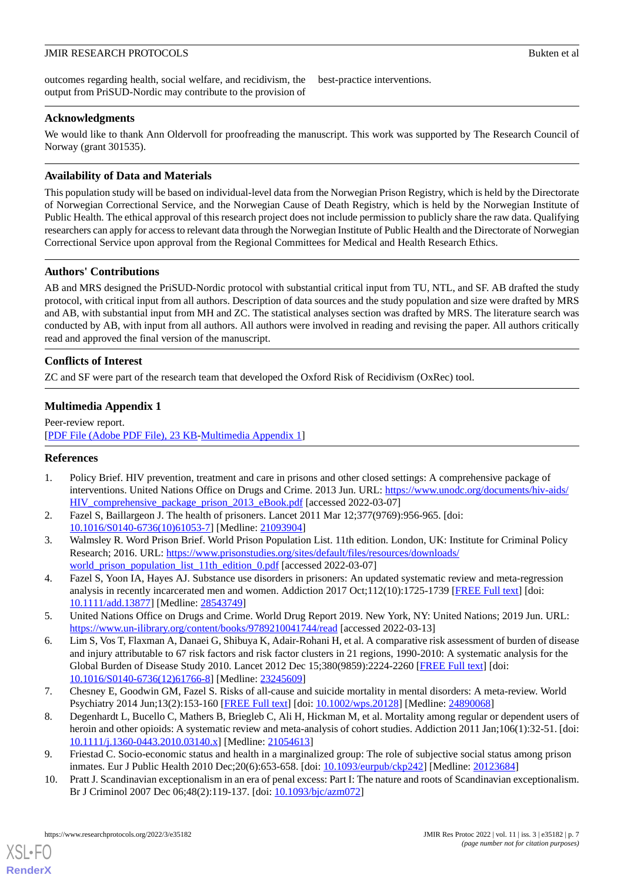outcomes regarding health, social welfare, and recidivism, the output from PriSUD-Nordic may contribute to the provision of best-practice interventions.

## **Acknowledgments**

We would like to thank Ann Oldervoll for proofreading the manuscript. This work was supported by The Research Council of Norway (grant 301535).

## **Availability of Data and Materials**

This population study will be based on individual-level data from the Norwegian Prison Registry, which is held by the Directorate of Norwegian Correctional Service, and the Norwegian Cause of Death Registry, which is held by the Norwegian Institute of Public Health. The ethical approval of this research project does not include permission to publicly share the raw data. Qualifying researchers can apply for access to relevant data through the Norwegian Institute of Public Health and the Directorate of Norwegian Correctional Service upon approval from the Regional Committees for Medical and Health Research Ethics.

## **Authors' Contributions**

AB and MRS designed the PriSUD-Nordic protocol with substantial critical input from TU, NTL, and SF. AB drafted the study protocol, with critical input from all authors. Description of data sources and the study population and size were drafted by MRS and AB, with substantial input from MH and ZC. The statistical analyses section was drafted by MRS. The literature search was conducted by AB, with input from all authors. All authors were involved in reading and revising the paper. All authors critically read and approved the final version of the manuscript.

## **Conflicts of Interest**

ZC and SF were part of the research team that developed the Oxford Risk of Recidivism (OxRec) tool.

## **Multimedia Appendix 1**

<span id="page-6-0"></span>Peer-review report. [[PDF File \(Adobe PDF File\), 23 KB](https://jmir.org/api/download?alt_name=resprot_v11i3e35182_app1.pdf&filename=663c51260cbb5fe0e0c2c97d2e6e8f07.pdf)-[Multimedia Appendix 1\]](https://jmir.org/api/download?alt_name=resprot_v11i3e35182_app1.pdf&filename=663c51260cbb5fe0e0c2c97d2e6e8f07.pdf)

## <span id="page-6-1"></span>**References**

- <span id="page-6-2"></span>1. Policy Brief. HIV prevention, treatment and care in prisons and other closed settings: A comprehensive package of interventions. United Nations Office on Drugs and Crime. 2013 Jun. URL: [https://www.unodc.org/documents/hiv-aids/](https://www.unodc.org/documents/hiv-aids/HIV_comprehensive_package_prison_2013_eBook.pdf) HIV comprehensive package prison 2013 eBook.pdf [accessed 2022-03-07]
- <span id="page-6-3"></span>2. Fazel S, Baillargeon J. The health of prisoners. Lancet 2011 Mar 12;377(9769):956-965. [doi: [10.1016/S0140-6736\(10\)61053-7\]](http://dx.doi.org/10.1016/S0140-6736(10)61053-7) [Medline: [21093904](http://www.ncbi.nlm.nih.gov/entrez/query.fcgi?cmd=Retrieve&db=PubMed&list_uids=21093904&dopt=Abstract)]
- <span id="page-6-4"></span>3. Walmsley R. Word Prison Brief. World Prison Population List. 11th edition. London, UK: Institute for Criminal Policy Research; 2016. URL: [https://www.prisonstudies.org/sites/default/files/resources/downloads/](https://www.prisonstudies.org/sites/default/files/resources/downloads/world_prison_population_list_11th_edition_0.pdf) [world\\_prison\\_population\\_list\\_11th\\_edition\\_0.pdf](https://www.prisonstudies.org/sites/default/files/resources/downloads/world_prison_population_list_11th_edition_0.pdf) [accessed 2022-03-07]
- <span id="page-6-5"></span>4. Fazel S, Yoon IA, Hayes AJ. Substance use disorders in prisoners: An updated systematic review and meta-regression analysis in recently incarcerated men and women. Addiction 2017 Oct;112(10):1725-1739 [\[FREE Full text\]](http://europepmc.org/abstract/MED/28543749) [doi: [10.1111/add.13877\]](http://dx.doi.org/10.1111/add.13877) [Medline: [28543749\]](http://www.ncbi.nlm.nih.gov/entrez/query.fcgi?cmd=Retrieve&db=PubMed&list_uids=28543749&dopt=Abstract)
- <span id="page-6-6"></span>5. United Nations Office on Drugs and Crime. World Drug Report 2019. New York, NY: United Nations; 2019 Jun. URL: <https://www.un-ilibrary.org/content/books/9789210041744/read> [accessed 2022-03-13]
- <span id="page-6-7"></span>6. Lim S, Vos T, Flaxman A, Danaei G, Shibuya K, Adair-Rohani H, et al. A comparative risk assessment of burden of disease and injury attributable to 67 risk factors and risk factor clusters in 21 regions, 1990-2010: A systematic analysis for the Global Burden of Disease Study 2010. Lancet 2012 Dec 15;380(9859):2224-2260 [[FREE Full text](http://europepmc.org/abstract/MED/23245609)] [doi: [10.1016/S0140-6736\(12\)61766-8\]](http://dx.doi.org/10.1016/S0140-6736(12)61766-8) [Medline: [23245609](http://www.ncbi.nlm.nih.gov/entrez/query.fcgi?cmd=Retrieve&db=PubMed&list_uids=23245609&dopt=Abstract)]
- <span id="page-6-9"></span><span id="page-6-8"></span>7. Chesney E, Goodwin GM, Fazel S. Risks of all-cause and suicide mortality in mental disorders: A meta-review. World Psychiatry 2014 Jun;13(2):153-160 [\[FREE Full text](https://doi.org/10.1002/wps.20128)] [doi: [10.1002/wps.20128](http://dx.doi.org/10.1002/wps.20128)] [Medline: [24890068](http://www.ncbi.nlm.nih.gov/entrez/query.fcgi?cmd=Retrieve&db=PubMed&list_uids=24890068&dopt=Abstract)]
- 8. Degenhardt L, Bucello C, Mathers B, Briegleb C, Ali H, Hickman M, et al. Mortality among regular or dependent users of heroin and other opioids: A systematic review and meta-analysis of cohort studies. Addiction 2011 Jan;106(1):32-51. [doi: [10.1111/j.1360-0443.2010.03140.x\]](http://dx.doi.org/10.1111/j.1360-0443.2010.03140.x) [Medline: [21054613\]](http://www.ncbi.nlm.nih.gov/entrez/query.fcgi?cmd=Retrieve&db=PubMed&list_uids=21054613&dopt=Abstract)
- 9. Friestad C. Socio-economic status and health in a marginalized group: The role of subjective social status among prison inmates. Eur J Public Health 2010 Dec;20(6):653-658. [doi: [10.1093/eurpub/ckp242\]](http://dx.doi.org/10.1093/eurpub/ckp242) [Medline: [20123684\]](http://www.ncbi.nlm.nih.gov/entrez/query.fcgi?cmd=Retrieve&db=PubMed&list_uids=20123684&dopt=Abstract)
- 10. Pratt J. Scandinavian exceptionalism in an era of penal excess: Part I: The nature and roots of Scandinavian exceptionalism. Br J Criminol 2007 Dec 06;48(2):119-137. [doi: [10.1093/bjc/azm072](http://dx.doi.org/10.1093/bjc/azm072)]

[XSL](http://www.w3.org/Style/XSL)•FO **[RenderX](http://www.renderx.com/)**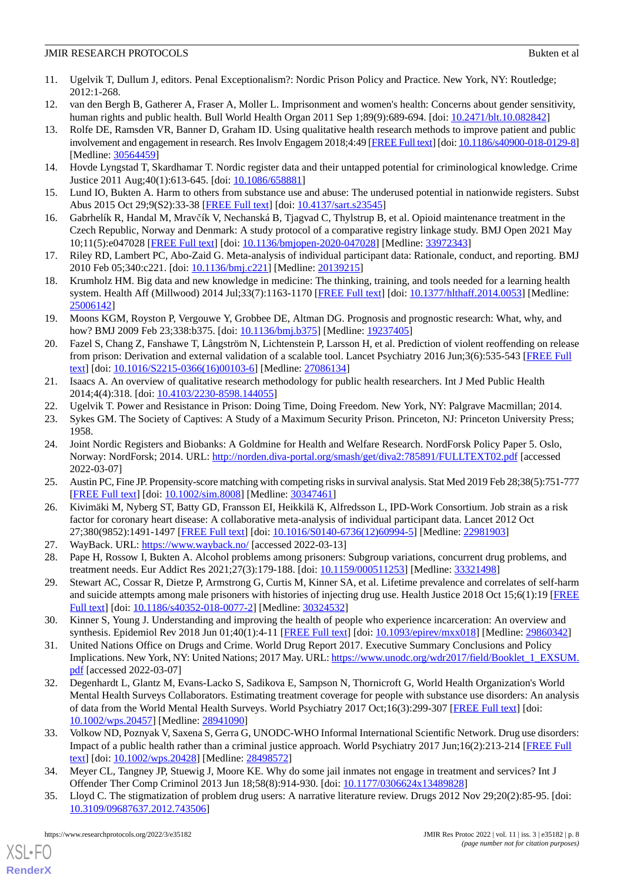- <span id="page-7-0"></span>11. Ugelvik T, Dullum J, editors. Penal Exceptionalism?: Nordic Prison Policy and Practice. New York, NY: Routledge; 2012:1-268.
- <span id="page-7-2"></span><span id="page-7-1"></span>12. van den Bergh B, Gatherer A, Fraser A, Moller L. Imprisonment and women's health: Concerns about gender sensitivity, human rights and public health. Bull World Health Organ 2011 Sep 1;89(9):689-694. [doi: [10.2471/blt.10.082842\]](http://dx.doi.org/10.2471/blt.10.082842)
- 13. Rolfe DE, Ramsden VR, Banner D, Graham ID. Using qualitative health research methods to improve patient and public involvement and engagement in research. Res Involv Engagem 2018;4:49 [[FREE Full text\]](https://researchinvolvement.biomedcentral.com/articles/10.1186/s40900-018-0129-8) [doi: [10.1186/s40900-018-0129-8\]](http://dx.doi.org/10.1186/s40900-018-0129-8) [Medline: [30564459](http://www.ncbi.nlm.nih.gov/entrez/query.fcgi?cmd=Retrieve&db=PubMed&list_uids=30564459&dopt=Abstract)]
- <span id="page-7-3"></span>14. Hovde Lyngstad T, Skardhamar T. Nordic register data and their untapped potential for criminological knowledge. Crime Justice 2011 Aug;40(1):613-645. [doi: [10.1086/658881](http://dx.doi.org/10.1086/658881)]
- <span id="page-7-4"></span>15. Lund IO, Bukten A. Harm to others from substance use and abuse: The underused potential in nationwide registers. Subst Abus 2015 Oct 29;9(S2):33-38 [\[FREE Full text\]](https://journals.sagepub.com/doi/pdf/10.4137/SART.S23545) [doi: [10.4137/sart.s23545](http://dx.doi.org/10.4137/sart.s23545)]
- <span id="page-7-5"></span>16. Gabrhelík R, Handal M, Mravčík V, Nechanská B, Tjagvad C, Thylstrup B, et al. Opioid maintenance treatment in the Czech Republic, Norway and Denmark: A study protocol of a comparative registry linkage study. BMJ Open 2021 May 10;11(5):e047028 [\[FREE Full text](https://bmjopen.bmj.com/lookup/pmidlookup?view=long&pmid=33972343)] [doi: [10.1136/bmjopen-2020-047028\]](http://dx.doi.org/10.1136/bmjopen-2020-047028) [Medline: [33972343](http://www.ncbi.nlm.nih.gov/entrez/query.fcgi?cmd=Retrieve&db=PubMed&list_uids=33972343&dopt=Abstract)]
- <span id="page-7-6"></span>17. Riley RD, Lambert PC, Abo-Zaid G. Meta-analysis of individual participant data: Rationale, conduct, and reporting. BMJ 2010 Feb 05;340:c221. [doi: [10.1136/bmj.c221\]](http://dx.doi.org/10.1136/bmj.c221) [Medline: [20139215\]](http://www.ncbi.nlm.nih.gov/entrez/query.fcgi?cmd=Retrieve&db=PubMed&list_uids=20139215&dopt=Abstract)
- <span id="page-7-7"></span>18. Krumholz HM. Big data and new knowledge in medicine: The thinking, training, and tools needed for a learning health system. Health Aff (Millwood) 2014 Jul;33(7):1163-1170 [[FREE Full text\]](http://europepmc.org/abstract/MED/25006142) [doi: [10.1377/hlthaff.2014.0053\]](http://dx.doi.org/10.1377/hlthaff.2014.0053) [Medline: [25006142](http://www.ncbi.nlm.nih.gov/entrez/query.fcgi?cmd=Retrieve&db=PubMed&list_uids=25006142&dopt=Abstract)]
- <span id="page-7-8"></span>19. Moons KGM, Royston P, Vergouwe Y, Grobbee DE, Altman DG. Prognosis and prognostic research: What, why, and how? BMJ 2009 Feb 23;338:b375. [doi: [10.1136/bmj.b375\]](http://dx.doi.org/10.1136/bmj.b375) [Medline: [19237405](http://www.ncbi.nlm.nih.gov/entrez/query.fcgi?cmd=Retrieve&db=PubMed&list_uids=19237405&dopt=Abstract)]
- <span id="page-7-9"></span>20. Fazel S, Chang Z, Fanshawe T, Långström N, Lichtenstein P, Larsson H, et al. Prediction of violent reoffending on release from prison: Derivation and external validation of a scalable tool. Lancet Psychiatry 2016 Jun;3(6):535-543 [\[FREE Full](https://linkinghub.elsevier.com/retrieve/pii/S2215-0366(16)00103-6) [text](https://linkinghub.elsevier.com/retrieve/pii/S2215-0366(16)00103-6)] [doi: [10.1016/S2215-0366\(16\)00103-6\]](http://dx.doi.org/10.1016/S2215-0366(16)00103-6) [Medline: [27086134](http://www.ncbi.nlm.nih.gov/entrez/query.fcgi?cmd=Retrieve&db=PubMed&list_uids=27086134&dopt=Abstract)]
- <span id="page-7-11"></span><span id="page-7-10"></span>21. Isaacs A. An overview of qualitative research methodology for public health researchers. Int J Med Public Health 2014;4(4):318. [doi: [10.4103/2230-8598.144055](http://dx.doi.org/10.4103/2230-8598.144055)]
- <span id="page-7-12"></span>22. Ugelvik T. Power and Resistance in Prison: Doing Time, Doing Freedom. New York, NY: Palgrave Macmillan; 2014.
- 23. Sykes GM. The Society of Captives: A Study of a Maximum Security Prison. Princeton, NJ: Princeton University Press; 1958.
- <span id="page-7-14"></span><span id="page-7-13"></span>24. Joint Nordic Registers and Biobanks: A Goldmine for Health and Welfare Research. NordForsk Policy Paper 5. Oslo, Norway: NordForsk; 2014. URL: <http://norden.diva-portal.org/smash/get/diva2:785891/FULLTEXT02.pdf> [accessed 2022-03-07]
- <span id="page-7-15"></span>25. Austin PC, Fine JP. Propensity-score matching with competing risks in survival analysis. Stat Med 2019 Feb 28;38(5):751-777 [[FREE Full text](http://europepmc.org/abstract/MED/30347461)] [doi: [10.1002/sim.8008\]](http://dx.doi.org/10.1002/sim.8008) [Medline: [30347461\]](http://www.ncbi.nlm.nih.gov/entrez/query.fcgi?cmd=Retrieve&db=PubMed&list_uids=30347461&dopt=Abstract)
- <span id="page-7-17"></span><span id="page-7-16"></span>26. Kivimäki M, Nyberg ST, Batty GD, Fransson EI, Heikkilä K, Alfredsson L, IPD-Work Consortium. Job strain as a risk factor for coronary heart disease: A collaborative meta-analysis of individual participant data. Lancet 2012 Oct 27;380(9852):1491-1497 [[FREE Full text](https://linkinghub.elsevier.com/retrieve/pii/S0140-6736(12)60994-5)] [doi: [10.1016/S0140-6736\(12\)60994-5\]](http://dx.doi.org/10.1016/S0140-6736(12)60994-5) [Medline: [22981903](http://www.ncbi.nlm.nih.gov/entrez/query.fcgi?cmd=Retrieve&db=PubMed&list_uids=22981903&dopt=Abstract)]
- 27. WayBack. URL:<https://www.wayback.no/> [accessed 2022-03-13]
- <span id="page-7-18"></span>28. Pape H, Rossow I, Bukten A. Alcohol problems among prisoners: Subgroup variations, concurrent drug problems, and treatment needs. Eur Addict Res 2021;27(3):179-188. [doi: [10.1159/000511253\]](http://dx.doi.org/10.1159/000511253) [Medline: [33321498\]](http://www.ncbi.nlm.nih.gov/entrez/query.fcgi?cmd=Retrieve&db=PubMed&list_uids=33321498&dopt=Abstract)
- <span id="page-7-19"></span>29. Stewart AC, Cossar R, Dietze P, Armstrong G, Curtis M, Kinner SA, et al. Lifetime prevalence and correlates of self-harm and suicide attempts among male prisoners with histories of injecting drug use. Health Justice 2018 Oct 15;6(1):19 [\[FREE](https://dx.doi.org/10.1186/s40352-018-0077-2) [Full text\]](https://dx.doi.org/10.1186/s40352-018-0077-2) [doi: [10.1186/s40352-018-0077-2](http://dx.doi.org/10.1186/s40352-018-0077-2)] [Medline: [30324532](http://www.ncbi.nlm.nih.gov/entrez/query.fcgi?cmd=Retrieve&db=PubMed&list_uids=30324532&dopt=Abstract)]
- <span id="page-7-20"></span>30. Kinner S, Young J. Understanding and improving the health of people who experience incarceration: An overview and synthesis. Epidemiol Rev 2018 Jun 01;40(1):4-11 [[FREE Full text](http://europepmc.org/abstract/MED/29860342)] [doi: [10.1093/epirev/mxx018](http://dx.doi.org/10.1093/epirev/mxx018)] [Medline: [29860342\]](http://www.ncbi.nlm.nih.gov/entrez/query.fcgi?cmd=Retrieve&db=PubMed&list_uids=29860342&dopt=Abstract)
- <span id="page-7-21"></span>31. United Nations Office on Drugs and Crime. World Drug Report 2017. Executive Summary Conclusions and Policy Implications. New York, NY: United Nations; 2017 May. URL: [https://www.unodc.org/wdr2017/field/Booklet\\_1\\_EXSUM.](https://www.unodc.org/wdr2017/field/Booklet_1_EXSUM.pdf) [pdf](https://www.unodc.org/wdr2017/field/Booklet_1_EXSUM.pdf) [accessed 2022-03-07]
- <span id="page-7-22"></span>32. Degenhardt L, Glantz M, Evans-Lacko S, Sadikova E, Sampson N, Thornicroft G, World Health Organization's World Mental Health Surveys Collaborators. Estimating treatment coverage for people with substance use disorders: An analysis of data from the World Mental Health Surveys. World Psychiatry 2017 Oct;16(3):299-307 [[FREE Full text](https://doi.org/10.1002/wps.20457)] [doi: [10.1002/wps.20457](http://dx.doi.org/10.1002/wps.20457)] [Medline: [28941090](http://www.ncbi.nlm.nih.gov/entrez/query.fcgi?cmd=Retrieve&db=PubMed&list_uids=28941090&dopt=Abstract)]
- <span id="page-7-23"></span>33. Volkow ND, Poznyak V, Saxena S, Gerra G, UNODC-WHO Informal International Scientific Network. Drug use disorders: Impact of a public health rather than a criminal justice approach. World Psychiatry 2017 Jun;16(2):213-214 [\[FREE Full](https://doi.org/10.1002/wps.20428) [text](https://doi.org/10.1002/wps.20428)] [doi: [10.1002/wps.20428\]](http://dx.doi.org/10.1002/wps.20428) [Medline: [28498572](http://www.ncbi.nlm.nih.gov/entrez/query.fcgi?cmd=Retrieve&db=PubMed&list_uids=28498572&dopt=Abstract)]
- 34. Meyer CL, Tangney JP, Stuewig J, Moore KE. Why do some jail inmates not engage in treatment and services? Int J Offender Ther Comp Criminol 2013 Jun 18;58(8):914-930. [doi: [10.1177/0306624x13489828\]](http://dx.doi.org/10.1177/0306624x13489828)
- 35. Lloyd C. The stigmatization of problem drug users: A narrative literature review. Drugs 2012 Nov 29;20(2):85-95. [doi: [10.3109/09687637.2012.743506\]](http://dx.doi.org/10.3109/09687637.2012.743506)

[XSL](http://www.w3.org/Style/XSL)•FO **[RenderX](http://www.renderx.com/)**